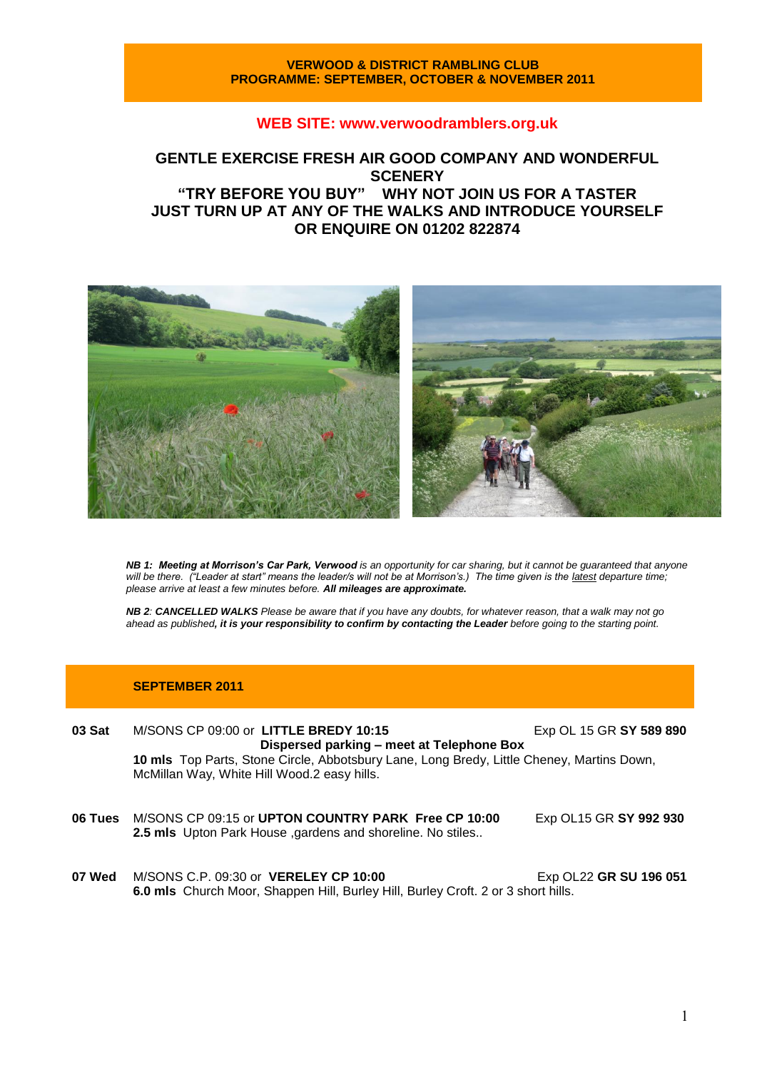#### **VERWOOD & DISTRICT RAMBLING CLUB PROGRAMME: SEPTEMBER, OCTOBER & NOVEMBER 2011**

### **WEB SITE: [www.verwoodramblers.org.uk](http://www.verwoodramblers.org.uk/)**

# **GENTLE EXERCISE FRESH AIR GOOD COMPANY AND WONDERFUL SCENERY "TRY BEFORE YOU BUY" WHY NOT JOIN US FOR A TASTER JUST TURN UP AT ANY OF THE WALKS AND INTRODUCE YOURSELF OR ENQUIRE ON 01202 822874**



*NB 1: Meeting at Morrison's Car Park, Verwood is an opportunity for car sharing, but it cannot be guaranteed that anyone will be there. ("Leader at start" means the leader/s will not be at Morrison's.) The time given is the latest departure time; please arrive at least a few minutes before. All mileages are approximate.*

*NB 2: CANCELLED WALKS Please be aware that if you have any doubts, for whatever reason, that a walk may not go ahead as published, it is your responsibility to confirm by contacting the Leader before going to the starting point.*

#### **SEPTEMBER 2011**

**03 Sat** M/SONS CP 09:00 or **LITTLE BREDY 10:15** Exp OL 15 GR **SY 589 890 Dispersed parking – meet at Telephone Box 10 mls** Top Parts, Stone Circle, Abbotsbury Lane, Long Bredy, Little Cheney, Martins Down, McMillan Way, White Hill Wood.2 easy hills.

- **06 Tues** M/SONS CP 09:15 or **UPTON COUNTRY PARK Free CP 10:00** Exp OL15 GR **SY 992 930 2.5 mls** Upton Park House ,gardens and shoreline. No stiles..
- **07 Wed** M/SONS C.P. 09:30 or **VERELEY CP 10:00** Exp OL22 **GR SU 196 051 6.0 mls** Church Moor, Shappen Hill, Burley Hill, Burley Croft. 2 or 3 short hills.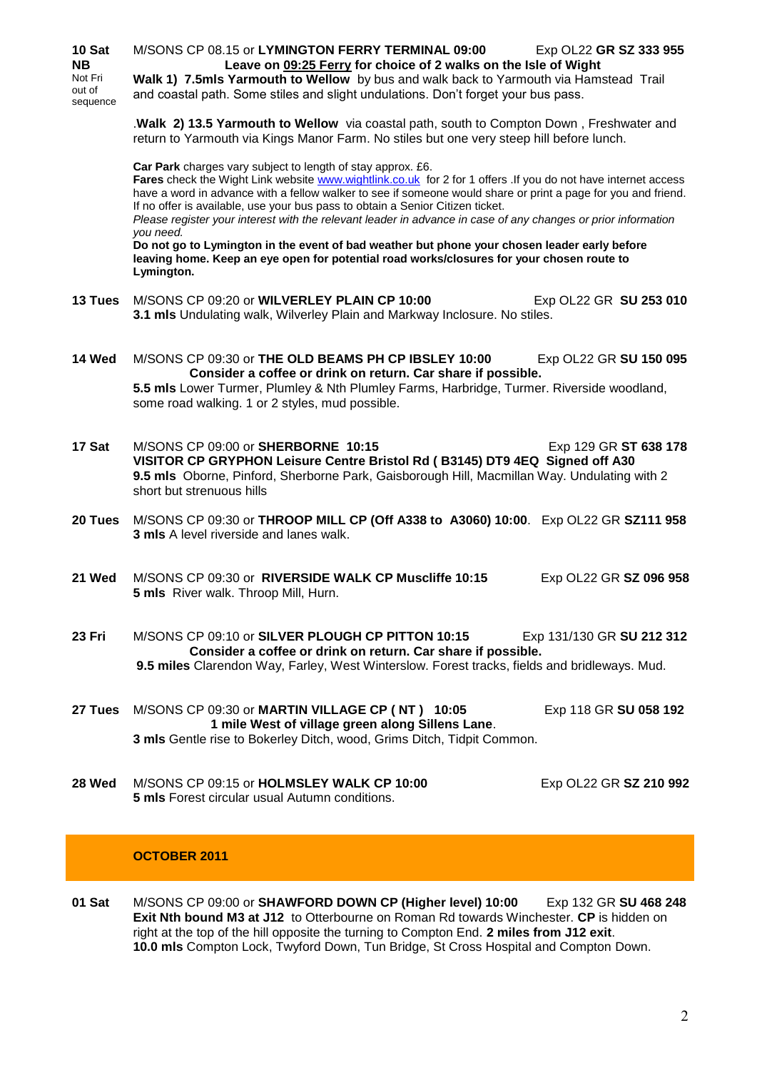| 10 Sat<br><b>NB</b><br>Not Fri<br>out of<br>sequence | M/SONS CP 08.15 or LYMINGTON FERRY TERMINAL 09:00<br>Exp OL22 GR SZ 333 955<br>Leave on 09:25 Ferry for choice of 2 walks on the Isle of Wight<br>Walk 1) 7.5mls Yarmouth to Wellow by bus and walk back to Yarmouth via Hamstead Trail<br>and coastal path. Some stiles and slight undulations. Don't forget your bus pass.<br>.Walk 2) 13.5 Yarmouth to Wellow via coastal path, south to Compton Down, Freshwater and<br>return to Yarmouth via Kings Manor Farm. No stiles but one very steep hill before lunch.<br>Car Park charges vary subject to length of stay approx. £6.<br>Fares check the Wight Link website www.wightlink.co.uk for 2 for 1 offers .If you do not have internet access<br>have a word in advance with a fellow walker to see if someone would share or print a page for you and friend.<br>If no offer is available, use your bus pass to obtain a Senior Citizen ticket.<br>Please register your interest with the relevant leader in advance in case of any changes or prior information<br>you need.<br>Do not go to Lymington in the event of bad weather but phone your chosen leader early before<br>leaving home. Keep an eye open for potential road works/closures for your chosen route to<br>Lymington. |  |  |
|------------------------------------------------------|--------------------------------------------------------------------------------------------------------------------------------------------------------------------------------------------------------------------------------------------------------------------------------------------------------------------------------------------------------------------------------------------------------------------------------------------------------------------------------------------------------------------------------------------------------------------------------------------------------------------------------------------------------------------------------------------------------------------------------------------------------------------------------------------------------------------------------------------------------------------------------------------------------------------------------------------------------------------------------------------------------------------------------------------------------------------------------------------------------------------------------------------------------------------------------------------------------------------------------------------------|--|--|
|                                                      |                                                                                                                                                                                                                                                                                                                                                                                                                                                                                                                                                                                                                                                                                                                                                                                                                                                                                                                                                                                                                                                                                                                                                                                                                                                  |  |  |
| 13 Tues                                              | M/SONS CP 09:20 or WILVERLEY PLAIN CP 10:00<br>Exp OL22 GR SU 253 010<br>3.1 mls Undulating walk, Wilverley Plain and Markway Inclosure. No stiles.                                                                                                                                                                                                                                                                                                                                                                                                                                                                                                                                                                                                                                                                                                                                                                                                                                                                                                                                                                                                                                                                                              |  |  |
| 14 Wed                                               | M/SONS CP 09:30 or THE OLD BEAMS PH CP IBSLEY 10:00<br>Exp OL22 GR SU 150 095<br>Consider a coffee or drink on return. Car share if possible.<br>5.5 mls Lower Turmer, Plumley & Nth Plumley Farms, Harbridge, Turmer. Riverside woodland,<br>some road walking. 1 or 2 styles, mud possible.                                                                                                                                                                                                                                                                                                                                                                                                                                                                                                                                                                                                                                                                                                                                                                                                                                                                                                                                                    |  |  |
| 17 Sat                                               | M/SONS CP 09:00 or SHERBORNE 10:15<br>Exp 129 GR ST 638 178<br>VISITOR CP GRYPHON Leisure Centre Bristol Rd (B3145) DT9 4EQ Signed off A30<br>9.5 mls Oborne, Pinford, Sherborne Park, Gaisborough Hill, Macmillan Way. Undulating with 2<br>short but strenuous hills                                                                                                                                                                                                                                                                                                                                                                                                                                                                                                                                                                                                                                                                                                                                                                                                                                                                                                                                                                           |  |  |
| 20 Tues                                              | M/SONS CP 09:30 or THROOP MILL CP (Off A338 to A3060) 10:00. Exp OL22 GR SZ111 958<br>3 mls A level riverside and lanes walk.                                                                                                                                                                                                                                                                                                                                                                                                                                                                                                                                                                                                                                                                                                                                                                                                                                                                                                                                                                                                                                                                                                                    |  |  |
| 21 Wed                                               | M/SONS CP 09:30 or RIVERSIDE WALK CP Muscliffe 10:15<br>Exp OL22 GR SZ 096 958<br>5 mls River walk. Throop Mill, Hurn.                                                                                                                                                                                                                                                                                                                                                                                                                                                                                                                                                                                                                                                                                                                                                                                                                                                                                                                                                                                                                                                                                                                           |  |  |
| 23 Fri                                               | M/SONS CP 09:10 or SILVER PLOUGH CP PITTON 10:15<br>Exp 131/130 GR SU 212 312<br>Consider a coffee or drink on return. Car share if possible.<br>9.5 miles Clarendon Way, Farley, West Winterslow. Forest tracks, fields and bridleways. Mud.                                                                                                                                                                                                                                                                                                                                                                                                                                                                                                                                                                                                                                                                                                                                                                                                                                                                                                                                                                                                    |  |  |
| 27 Tues                                              | M/SONS CP 09:30 or MARTIN VILLAGE CP (NT) 10:05<br>Exp 118 GR SU 058 192<br>1 mile West of village green along Sillens Lane.<br>3 mls Gentle rise to Bokerley Ditch, wood, Grims Ditch, Tidpit Common.                                                                                                                                                                                                                                                                                                                                                                                                                                                                                                                                                                                                                                                                                                                                                                                                                                                                                                                                                                                                                                           |  |  |
| 28 Wed                                               | M/SONS CP 09:15 or HOLMSLEY WALK CP 10:00<br>Exp OL22 GR SZ 210 992<br><b>5 mls</b> Forest circular usual Autumn conditions.                                                                                                                                                                                                                                                                                                                                                                                                                                                                                                                                                                                                                                                                                                                                                                                                                                                                                                                                                                                                                                                                                                                     |  |  |

## **OCTOBER 2011**

**01 Sat** M/SONS CP 09:00 or **SHAWFORD DOWN CP (Higher level) 10:00** Exp 132 GR **SU 468 248 Exit Nth bound M3 at J12** to Otterbourne on Roman Rd towards Winchester. **CP** is hidden on right at the top of the hill opposite the turning to Compton End. **2 miles from J12 exit**. **10.0 mls** Compton Lock, Twyford Down, Tun Bridge, St Cross Hospital and Compton Down.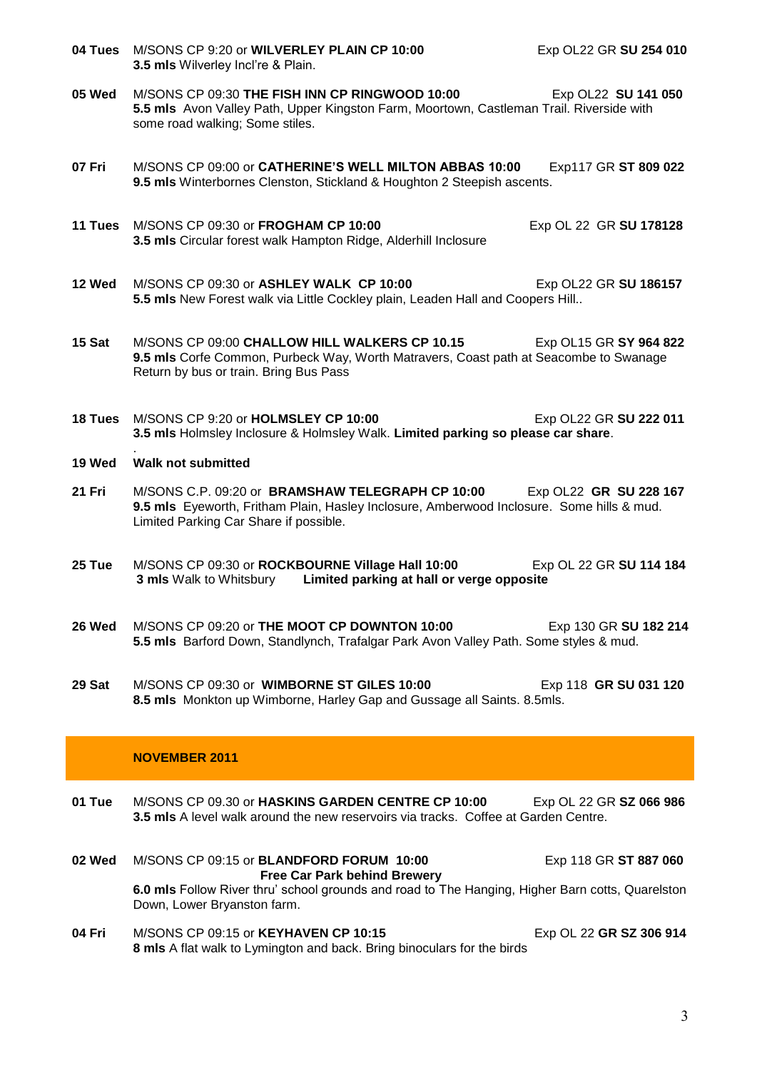- **04 Tues** M/SONS CP 9:20 or **WILVERLEY PLAIN CP 10:00** Exp OL22 GR **SU 254 010 3.5 mls** Wilverley Incl're & Plain.
- **05 Wed** M/SONS CP 09:30 **THE FISH INN CP RINGWOOD 10:00** Exp OL22 **SU 141 050 5.5 mls** Avon Valley Path, Upper Kingston Farm, Moortown, Castleman Trail. Riverside with some road walking; Some stiles.
- **07 Fri** M/SONS CP 09:00 or **CATHERINE'S WELL MILTON ABBAS 10:00** Exp117 GR **ST 809 022 9.5 mls** Winterbornes Clenston, Stickland & Houghton 2 Steepish ascents.
- **11 Tues** M/SONS CP 09:30 or **FROGHAM CP 10:00** Exp OL 22 GR **SU 178128 3.5 mls** Circular forest walk Hampton Ridge, Alderhill Inclosure
- **12 Wed** M/SONS CP 09:30 or **ASHLEY WALK CP 10:00** Exp OL22 GR **SU 186157 5.5 mls** New Forest walk via Little Cockley plain, Leaden Hall and Coopers Hill..
- **15 Sat** M/SONS CP 09:00 **CHALLOW HILL WALKERS CP 10.15** Exp OL15 GR **SY 964 822 9.5 mls** Corfe Common, Purbeck Way, Worth Matravers, Coast path at Seacombe to Swanage Return by bus or train. Bring Bus Pass
- **18 Tues** M/SONS CP 9:20 or **HOLMSLEY CP 10:00** Exp OL22 GR **SU 222 011 3.5 mls** Holmsley Inclosure & Holmsley Walk. **Limited parking so please car share**.
- . **19 Wed Walk not submitted**
- **21 Fri** M/SONS C.P. 09:20 or **BRAMSHAW TELEGRAPH CP 10:00** Exp OL22 **GR SU 228 167 9.5 mls** Eyeworth, Fritham Plain, Hasley Inclosure, Amberwood Inclosure. Some hills & mud. Limited Parking Car Share if possible.
- **25 Tue** M/SONS CP 09:30 or **ROCKBOURNE Village Hall 10:00** Exp OL 22 GR **SU 114 184 Limited parking at hall or verge opposite**
- **26 Wed** M/SONS CP 09:20 or **THE MOOT CP DOWNTON 10:00** Exp 130 GR **SU 182 214 5.5 mls** Barford Down, Standlynch, Trafalgar Park Avon Valley Path. Some styles & mud.
- **29 Sat** M/SONS CP 09:30 or **WIMBORNE ST GILES 10:00** Exp 118 **GR SU 031 120 8.5 mls** Monkton up Wimborne, Harley Gap and Gussage all Saints. 8.5mls.

### **NOVEMBER 2011**

- **01 Tue** M/SONS CP 09.30 or **HASKINS GARDEN CENTRE CP 10:00** Exp OL 22 GR **SZ 066 986 3.5 mls** A level walk around the new reservoirs via tracks. Coffee at Garden Centre.
- **02 Wed** M/SONS CP 09:15 or **BLANDFORD FORUM 10:00** Exp 118 GR **ST 887 060 Free Car Park behind Brewery 6.0 mls** Follow River thru' school grounds and road to The Hanging, Higher Barn cotts, Quarelston Down, Lower Bryanston farm.
- **04 Fri M/SONS CP 09:15 or KEYHAVEN CP 10:15** Exp OL 22 GR SZ 306 914 **8 mls** A flat walk to Lymington and back. Bring binoculars for the birds